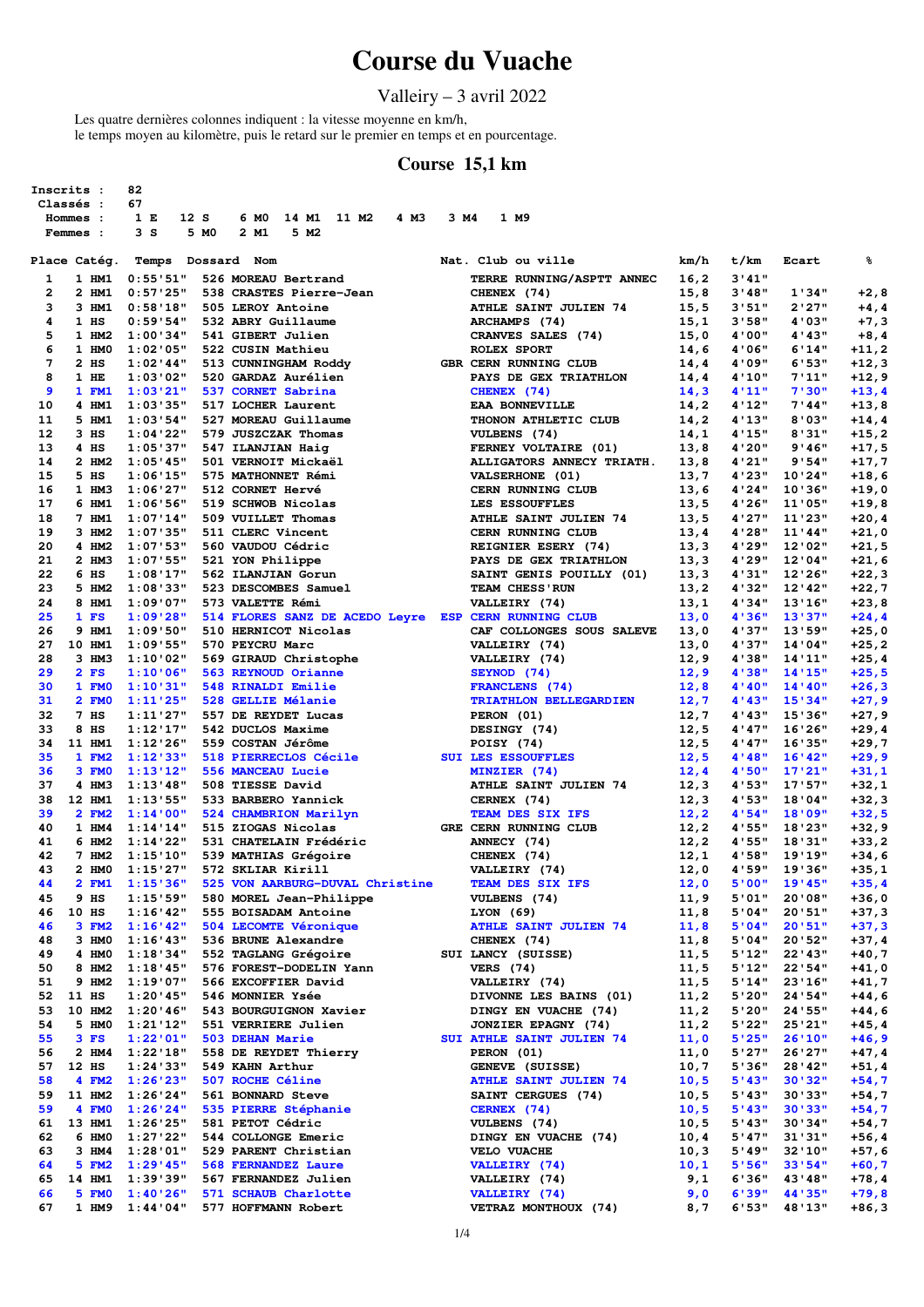# **Course du Vuache**

### Valleiry – 3 avril 2022

Les quatre dernières colonnes indiquent : la vitesse moyenne en km/h, le temps moyen au kilomètre, puis le retard sur le premier en temps et en pourcentage.

#### **Course 15,1 km**

|          | Inscrits :           | 82                      |      |                                                      |      |      |                                                   |                |                |                    |                     |
|----------|----------------------|-------------------------|------|------------------------------------------------------|------|------|---------------------------------------------------|----------------|----------------|--------------------|---------------------|
|          | Classés :            | 67                      |      |                                                      |      |      |                                                   |                |                |                    |                     |
|          | Hommes :<br>Femmes : | 12S<br>1 E<br>3S        | 5 MO | 14 M1 11 M2<br>6 MO<br>5 M2<br>2 M1                  | 4 M3 | 3 M4 | 1 M9                                              |                |                |                    |                     |
|          |                      |                         |      |                                                      |      |      |                                                   |                |                |                    |                     |
|          | Place Catég.         | Temps                   |      | Dossard Nom                                          |      |      | Nat. Club ou ville                                | km/h           | t/km           | Ecart              | ៖                   |
| 1        | 1 HM1                | 0:55'51"                |      | 526 MOREAU Bertrand                                  |      |      | TERRE RUNNING/ASPTT ANNEC                         | 16, 2          | 3'41''         |                    |                     |
| 2        | 2 HM1                | 0:57'25"                |      | 538 CRASTES Pierre-Jean                              |      |      | CHENEX (74)                                       | 15,8           | 3'48''         | 1'34"              | +2,8                |
| з        | 3 HM1                | 0:58'18"                |      | 505 LEROY Antoine                                    |      |      | ATHLE SAINT JULIEN 74                             | 15, 5          | 3'51"          | 2'27"              | $+4, 4$             |
| 4        | $1$ HS               | 0:59:54"                |      | 532 ABRY Guillaume                                   |      |      | ARCHAMPS (74)                                     | 15,1           | 3'58"          | 4'03"              | $+7,3$              |
| 5<br>6   | 1 HM2<br>1 HMO       | 1:00'34"<br>1:02:05"    |      | 541 GIBERT Julien<br>522 CUSIN Mathieu               |      |      | CRANVES SALES (74)<br>ROLEX SPORT                 | 15,0<br>14,6   | 4'00"<br>4'06" | 4'43"<br>6'14"     | $+8,4$<br>+11,2     |
| 7        | $2$ HS               | $1:02$ '44"             |      | 513 CUNNINGHAM Roddy                                 |      |      | GBR CERN RUNNING CLUB                             | 14,4           | 4'09"          | 6'53"              | +12,3               |
| 8        | $1$ HE               | 1:03:02"                |      | 520 GARDAZ Aurélien                                  |      |      | PAYS DE GEX TRIATHLON                             | 14,4           | 4'10"          | 7'11"              | +12,9               |
| 9        | 1 FM1                | 1:03'21"                |      | 537 CORNET Sabrina                                   |      |      | CHENEX (74)                                       | 14,3           | 4'11''         | 7'30"              | $+13,4$             |
| 10       | 4 HM1                | 1:03'35"                |      | 517 LOCHER Laurent                                   |      |      | <b>EAA BONNEVILLE</b>                             | 14,2           | 4'12"          | 7'44"              | +13,8               |
| 11       | 5 HM1                | 1:03:54"                |      | 527 MOREAU Guillaume                                 |      |      | THONON ATHLETIC CLUB                              | 14,2           | 4'13''         | 8'03"              | $+14, 4$            |
| 12<br>13 | $3$ HS<br>$4$ HS     | 1:04'22"                |      | 579 JUSZCZAK Thomas                                  |      |      | VULBENS (74)                                      | 14,1           | 4'15"          | 8'31"              | $+15, 2$            |
| 14       | 2 HM2                | 1:05'37"<br>1:05'45"    |      | 547 ILANJIAN Haig<br>501 VERNOIT Mickaël             |      |      | FERNEY VOLTAIRE (01)<br>ALLIGATORS ANNECY TRIATH. | 13,8<br>13,8   | 4'20"<br>4'21" | 9'46"<br>9'54"     | +17,5<br>+17,7      |
| 15       | 5 HS                 | 1:06'15"                |      | 575 MATHONNET Rémi                                   |      |      | VALSERHONE (01)                                   | 13,7           | 4'23"          | 10'24"             | $+18,6$             |
| 16       | 1 HM3                | 1:06'27"                |      | 512 CORNET Hervé                                     |      |      | CERN RUNNING CLUB                                 | 13,6           | 4'24"          | 10'36"             | +19,0               |
| 17       | 6 HM1                | 1:06'56"                |      | 519 SCHWOB Nicolas                                   |      |      | LES ESSOUFFLES                                    | 13,5           | 4'26"          | 11'05"             | $+19,8$             |
| 18       | 7 HM1                | 1:07'14"                |      | 509 VUILLET Thomas                                   |      |      | ATHLE SAINT JULIEN 74                             | 13,5           | 4'27"          | 11'23"             | $+20, 4$            |
| 19       | 3 HM2                | 1:07'35"                |      | 511 CLERC Vincent                                    |      |      | CERN RUNNING CLUB                                 | 13, 4          | 4'28"          | 11'44"             | +21,0               |
| 20       | 4 HM2                | 1:07:53"                |      | 560 VAUDOU Cédric                                    |      |      | REIGNIER ESERY (74)                               | 13,3           | 4'29"          | 12'02"             | +21,5               |
| 21<br>22 | 2 HM3<br>6 HS        | 1:07'55"<br>1:08"17"    |      | 521 YON Philippe<br>562 ILANJIAN Gorun               |      |      | PAYS DE GEX TRIATHLON<br>SAINT GENIS POUILLY (01) | 13,3<br>13,3   | 4'29"<br>4'31" | 12'04"<br>12'26"   | $+21,6$<br>+22,3    |
| 23       | 5 HM2                | 1:08'33"                |      | 523 DESCOMBES Samuel                                 |      |      | TEAM CHESS'RUN                                    | 13,2           | 4'32"          | $12'$ 42"          | $+22,7$             |
| 24       | 8 HM1                | 1:09'07"                |      | 573 VALETTE Rémi                                     |      |      | VALLEIRY (74)                                     | 13,1           | 4'34"          | 13'16"             | $+23,8$             |
| 25       | 1 FS                 | 1:09'28"                |      | 514 FLORES SANZ DE ACEDO Leyre ESP CERN RUNNING CLUB |      |      |                                                   | 13,0           | 4'36"          | 13'37"             | $+24, 4$            |
| 26       | 9 HM1                | 1:09'50"                |      | 510 HERNICOT Nicolas                                 |      |      | CAF COLLONGES SOUS SALEVE                         | 13,0           | 4'37"          | 13'59"             | $+25,0$             |
| 27       | 10 HM1               | 1:09'55"                |      | 570 PEYCRU Marc                                      |      |      | VALLEIRY (74)                                     | 13,0           | 4'37"          | 14'04"             | $+25, 2$            |
| 28       | 3 HM3                | 1:10'02"                |      | 569 GIRAUD Christophe                                |      |      | VALLEIRY (74)                                     | 12, 9          | 4'38"          | 14'11''            | $+25,4$             |
| 29<br>30 | 2 FS<br>1 FMO        | 1:10'06"                |      | 563 REYNOUD Orianne<br>548 RINALDI Emilie            |      |      | SEYNOD (74)                                       | 12, 9          | 4'38"          | 14'15''<br>14'40'' | $+25,5$<br>$+26, 3$ |
| 31       | 2 FMO                | 1:10'31"<br>1:11'25"    |      | 528 GELLIE Mélanie                                   |      |      | FRANCLENS (74)<br>TRIATHLON BELLEGARDIEN          | 12,8<br>12,7   | 4'40"<br>4'43" | 15'34"             | $+27,9$             |
| 32       | 7 <sub>HS</sub>      | 1:11'27"                |      | 557 DE REYDET Lucas                                  |      |      | PERON (01)                                        | 12,7           | 4'43"          | 15'36"             | +27,9               |
| 33       | 8 HS                 | 1:12'17"                |      | 542 DUCLOS Maxime                                    |      |      | DESINGY (74)                                      | 12,5           | 4'47"          | 16'26"             | $+29,4$             |
| 34       | 11 HM1               | 1:12'26"                |      | 559 COSTAN Jérôme                                    |      |      | POISY (74)                                        | 12,5           | 4'47"          | 16'35"             | +29,7               |
| 35       | 1 F M2               | 1:12'33"                |      | 518 PIERRECLOS Cécile                                |      |      | <b>SUI LES ESSOUFFLES</b>                         | 12, 5          | 4'48"          | 16'42"             | $+29, 9$            |
| 36       | 3 FM0                | 1:13'12"                |      | 556 MANCEAU Lucie                                    |      |      | MINZIER (74)                                      | 12,4           | 4'50"          | 17'21"             | $+31,1$             |
| 37<br>38 | 4 HM3<br>12 HM1      | $1:13'$ 48"<br>1:13:55" |      | 508 TIESSE David<br>533 BARBERO Yannick              |      |      | ATHLE SAINT JULIEN 74<br>CERNEX (74)              | 12,3<br>12, 3  | 4'53"<br>4'53" | 17'57"<br>18'04"   | $+32,1$<br>+32,3    |
| 39       | 2 FM2                | 1:14'00"                |      | 524 CHAMBRION Marilyn                                |      |      | TEAM DES SIX IFS                                  | 12, 2          | 4'54"          | 18'09"             | $+32,5$             |
| 40       | 1 HM4                | 1:14'14"                |      | 515 ZIOGAS Nicolas                                   |      |      | GRE CERN RUNNING CLUB                             | 12,2           | 4'55"          | 18'23"             | +32,9               |
| 41       | 6 HM2                | 1:14'22"                |      | 531 CHATELAIN Frédéric                               |      |      | ANNECY (74)                                       | 12,2           | 4'55"          | 18'31"             | $+33,2$             |
| 42       | 7 HM2                | 1:15'10"                |      | 539 MATHIAS Grégoire                                 |      |      | CHENEX (74)                                       | 12,1           | 4'58"          | 19'19"             | +34,6               |
| 43       | 2 HM0                | 1:15'27"                |      | 572 SKLIAR Kirill                                    |      |      | VALLEIRY (74)                                     | 12,0           | 4'59"          | 19'36"             | $+35,1$             |
| 44       | 2 FM1                | 1:15'36"                |      | 525 VON AARBURG-DUVAL Christine                      |      |      | TEAM DES SIX IFS                                  | 12,0           | 5'00"<br>5'01" | 19'45"<br>20'08"   | $+35,4$             |
| 45<br>46 | 9 H.S<br>10 HS       | 1:15'59"<br>1:16'42"    |      | 580 MOREL Jean-Philippe<br>555 BOISADAM Antoine      |      |      | VULBENS (74)<br>LYON(69)                          | 11,9<br>11,8   | 5'04"          | 20'51"             | $+36,0$<br>$+37,3$  |
| 46       | 3 FM2                | 1:16'42"                |      | 504 LECOMTE Véronique                                |      |      | <b>ATHLE SAINT JULIEN 74</b>                      | 11,8           | 5'04"          | 20'51"             | $+37,3$             |
| 48       | 3 HMO                | 1:16'43"                |      | 536 BRUNE Alexandre                                  |      |      | CHENEX (74)                                       | 11,8           | 5'04"          | 20'52"             | +37,4               |
| 49       | 4 HMO                | 1:18'34"                |      | 552 TAGLANG Grégoire                                 |      |      | SUI LANCY (SUISSE)                                | 11,5           | 5'12"          | $22'$ 43"          | $+40,7$             |
| 50       | 8 HM2                | 1:18'45"                |      | 576 FOREST-DODELIN Yann                              |      |      | <b>VERS</b> (74)                                  | 11,5           | 5'12"          | 22'54"             | +41,0               |
| 51       | 9 HM2                | 1:19'07"                |      | 566 EXCOFFIER David                                  |      |      | VALLEIRY (74)                                     | 11,5           | 5'14"          | 23'16"             | $+41,7$             |
| 52<br>53 | 11 HS<br>10 HM2      | $1:20'$ 45"<br>1:20'46" |      | 546 MONNIER Ysée<br>543 BOURGUIGNON Xavier           |      |      | DIVONNE LES BAINS (01)<br>DINGY EN VUACHE (74)    | 11, 2<br>11, 2 | 5'20"<br>5'20" | 24'54"<br>24'55"   | +44,6<br>$+44,6$    |
| 54       | 5 HMO                | 1:21'12"                |      | 551 VERRIERE Julien                                  |      |      | <b>JONZIER EPAGNY (74)</b>                        | 11, 2          | 5'22"          | 25'21"             | +45,4               |
| 55       | $3$ FS               | 1:22'01"                |      | 503 DEHAN Marie                                      |      |      | SUI ATHLE SAINT JULIEN 74                         | 11,0           | 5'25"          | 26'10"             | $+46,9$             |
| 56       | 2 HM4                | 1:22'18"                |      | 558 DE REYDET Thierry                                |      |      | PERON (01)                                        | 11,0           | 5'27"          | 26'27"             | +47,4               |
| 57       | 12 HS                | 1:24'33"                |      | 549 KAHN Arthur                                      |      |      | GENEVE (SUISSE)                                   | 10,7           | 5'36"          | 28'42"             | +51,4               |
| 58       | 4 FM2                | 1:26'23"                |      | 507 ROCHE Céline                                     |      |      | <b>ATHLE SAINT JULIEN 74</b>                      | 10, 5          | 5'43"          | 30'32"             | $+54,7$             |
| 59       | 11 HM2               | 1:26'24"                |      | 561 BONNARD Steve                                    |      |      | SAINT CERGUES (74)                                | 10, 5          | 5'43"          | 30'33"             | +54,7               |
| 59<br>61 | 4 FMO<br>13 HM1      | 1:26'24"<br>1:26'25"    |      | 535 PIERRE Stéphanie<br>581 PETOT Cédric             |      |      | CERNEX (74)<br>VULBENS (74)                       | 10, 5<br>10, 5 | 5'43"<br>5'43" | 30'33"<br>30'34"   | $+54,7$<br>$+54,7$  |
| 62       | 6 HMO                | 1:27'22"                |      | 544 COLLONGE Emeric                                  |      |      | DINGY EN VUACHE (74)                              | 10, 4          | 5'47"          | 31'31"             | +56,4               |
| 63       | 3 HM4                | 1:28'01"                |      | 529 PARENT Christian                                 |      |      | <b>VELO VUACHE</b>                                | 10, 3          | 5'49"          | 32'10''            | $+57,6$             |
| 64       | 5 FM2                | 1:29'45"                |      | 568 FERNANDEZ Laure                                  |      |      | VALLEIRY (74)                                     | 10,1           | 5'56"          | 33'54"             | $+60,7$             |
| 65       | 14 HM1               | 1:39'39"                |      | 567 FERNANDEZ Julien                                 |      |      | VALLEIRY (74)                                     | 9,1            | 6'36"          | 43'48"             | $+78,4$             |
| 66       | 5 FM0                | 1:40'26"                |      | 571 SCHAUB Charlotte                                 |      |      | VALLEIRY (74)                                     | 9,0            | 6'39"          | 44'35"             | $+79,8$             |
| 67       | 1 HM9                | 1:44'04"                |      | 577 HOFFMANN Robert                                  |      |      | VETRAZ MONTHOUX (74)                              | 8,7            | 6'53"          | 48'13"             | $+86,3$             |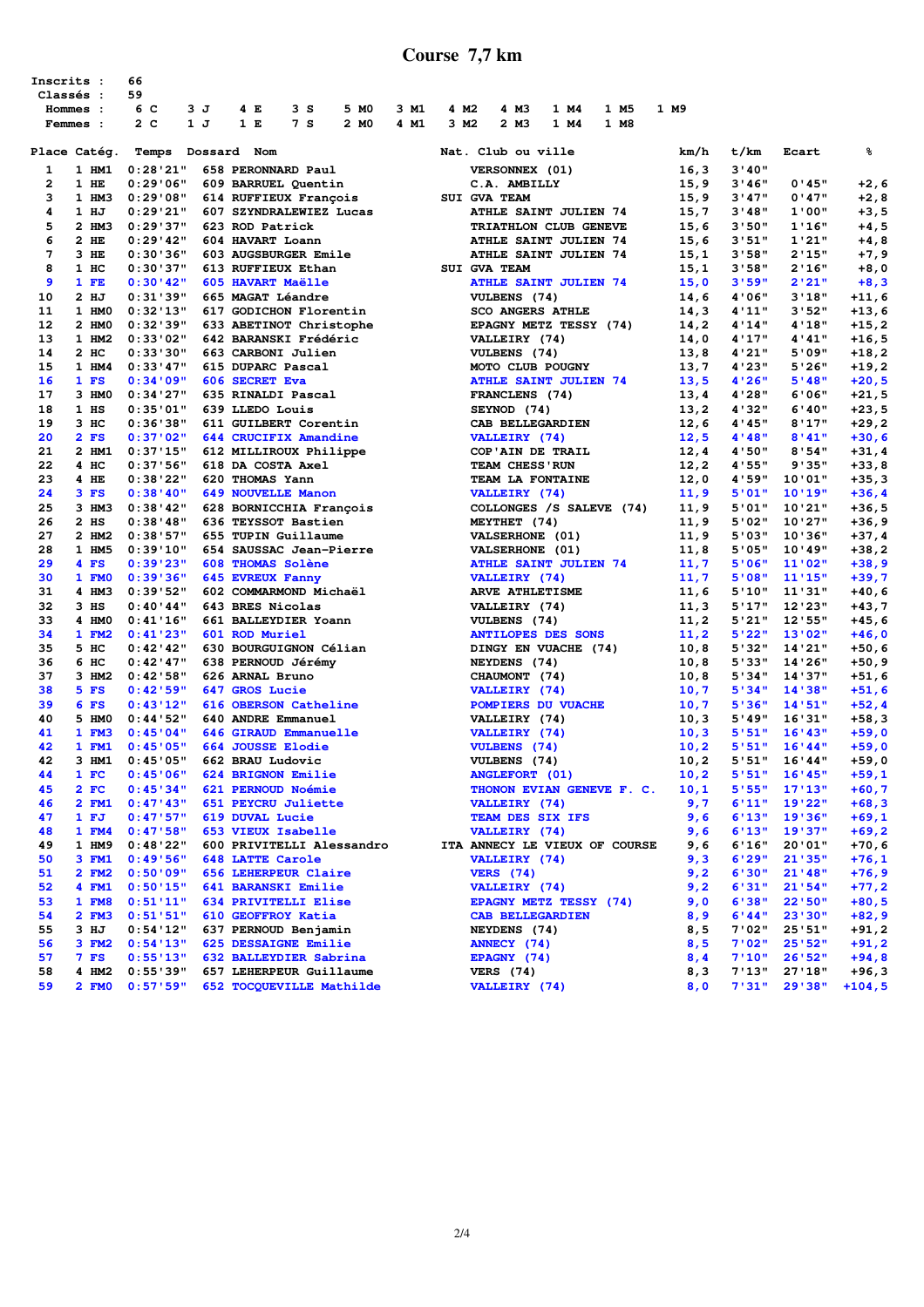### **Course 7,7 km**

| Inscrits :<br>Classés :<br>Hommes :<br>Femmes : |                  | 66<br>59<br>6 C<br>2 <sub>c</sub> | 3J  | 4 E                     | 3S<br>7 <sub>s</sub>                             | 5 MO<br>2 MO                                                              | 3 M1<br>4 M1 | 4 M <sub>2</sub><br>3 M <sub>2</sub> | 4 M3<br>2 M3                                   | 1 M4<br>1 M4 | 1 M5<br>1 M8 | 1 M9          |                 |                  |                    |
|-------------------------------------------------|------------------|-----------------------------------|-----|-------------------------|--------------------------------------------------|---------------------------------------------------------------------------|--------------|--------------------------------------|------------------------------------------------|--------------|--------------|---------------|-----------------|------------------|--------------------|
|                                                 |                  |                                   | 1 J | 1 E                     |                                                  |                                                                           |              |                                      |                                                |              |              |               |                 |                  |                    |
|                                                 | Place Catég.     | Temps                             |     | Dossard Nom             |                                                  |                                                                           |              |                                      | Nat. Club ou ville                             |              |              | km/h          | t/km            | Ecart            | ៖                  |
| 1                                               | 1 HM1            | 0:28'21"                          |     |                         | 658 PERONNARD Paul                               |                                                                           |              |                                      | VERSONNEX (01)                                 |              |              | 16, 3         | 3'40''          |                  |                    |
| 2<br>3                                          | 1 HE<br>1 HM3    | 0:29'06"<br>0:29'08"              |     |                         | 609 BARRUEL Quentin                              |                                                                           |              |                                      | C.A. AMBILLY<br>SUI GVA TEAM                   |              |              | 15,9<br>15,9  | 3'46''<br>3'47" | 0'45"<br>0'47"   | $+2,6$<br>$+2,8$   |
| 4                                               | $1$ HJ           | 0:29'21"                          |     |                         | 614 RUFFIEUX François<br>607 SZYNDRALEWIEZ Lucas |                                                                           |              |                                      | <b>ATHLE SAINT JULIEN 74</b>                   |              |              | 15,7          | 3'48"           | 1'00"            | $+3,5$             |
| 5                                               | 2 HM3            | 0:29:37"                          |     | 623 ROD Patrick         |                                                  |                                                                           |              |                                      | TRIATHLON CLUB GENEVE                          |              |              | 15,6          | 3'50"           | 1'16"            | $+4,5$             |
| 6                                               | $2$ HE           | 0:29'42"                          |     | 604 HAVART Loann        |                                                  |                                                                           |              |                                      | ATHLE SAINT JULIEN 74                          |              |              | 15,6          | 3'51"           | 1'21"            | $+4,8$             |
| 7                                               | 3 HE             | 0:30'36"                          |     |                         | 603 AUGSBURGER Emile                             |                                                                           |              |                                      | ATHLE SAINT JULIEN 74                          |              |              | 15,1          | 3'58"           | 2'15"            | $+7,9$             |
| 8                                               | 1 HC             | 0:30'37"                          |     |                         | 613 RUFFIEUX Ethan                               |                                                                           |              |                                      | SUI GVA TEAM                                   |              |              | 15,1          | 3'58"           | 2'16"            | $+8,0$             |
| 9                                               | 1 FE             | 0:30'42"                          |     |                         | 605 HAVART Maëlle                                |                                                                           |              |                                      | <b>ATHLE SAINT JULIEN 74</b>                   |              |              | 15,0          | 3'59"           | 2'21"            | $+8,3$             |
| 10                                              | $2$ HJ           | 0:31:39"                          |     |                         | 665 MAGAT Léandre                                |                                                                           |              |                                      | VULBENS (74)                                   |              |              | 14,6          | 4'06"           | 3'18"            | +11,6              |
| 11                                              | 1 HMO            | 0:32'13"                          |     |                         | 617 GODICHON Florentin                           |                                                                           |              |                                      | <b>SCO ANGERS ATHLE</b>                        |              |              | 14,3          | 4'11''          | 3'52"            | $+13,6$            |
| 12                                              | 2 HM0            | 0:32:39"                          |     |                         | 633 ABETINOT Christophe                          |                                                                           |              |                                      | EPAGNY METZ TESSY (74)                         |              |              | 14,2          | 4'14''          | 4'18"            | $+15, 2$           |
| 13                                              | 1 HM2            | 0:33'02"                          |     |                         | 642 BARANSKI Frédéric                            |                                                                           |              |                                      | VALLEIRY (74)                                  |              |              | 14,0          | 4'17"           | 4'41"            | $+16,5$            |
| 14                                              | $2$ HC           | 0:33'30"                          |     |                         | 663 CARBONI Julien                               |                                                                           |              |                                      | VULBENS (74)                                   |              |              | 13,8          | 4'21"           | 5'09"            | $+18, 2$           |
| 15                                              | 1 HM4            | 0:33'47"                          |     |                         | 615 DUPARC Pascal                                |                                                                           |              |                                      | MOTO CLUB POUGNY                               |              |              | 13,7          | 4'23"           | 5'26"            | +19,2              |
| 16                                              | $1$ FS           | 0:34'09"                          |     | 606 SECRET Eva          |                                                  |                                                                           |              |                                      | <b>ATHLE SAINT JULIEN 74</b>                   |              |              | 13,5          | 4'26"           | 5'48"            | $+20,5$            |
| 17                                              | 3 HM0            | 0:34'27"                          |     |                         | 635 RINALDI Pascal                               |                                                                           |              |                                      | FRANCLENS (74)                                 |              |              | 13,4          | 4'28"           | 6'06"            | $+21,5$            |
| 18<br>19                                        | $1$ HS<br>$3$ HC | 0:35'01"<br>0:36'38"              |     | 639 LLEDO Louis         | 611 GUILBERT Corentin                            |                                                                           |              |                                      | SEYNOD (74)<br>CAB BELLEGARDIEN                |              |              | 13, 2<br>12,6 | 4'32"<br>4'45"  | 6'40"<br>8'17"   | $+23, 5$           |
| 20                                              | $2$ FS           | 0:37:02"                          |     |                         | 644 CRUCIFIX Amandine                            |                                                                           |              |                                      | <b>VALLEIRY</b> (74)                           |              |              | 12,5          | 4'48''          | 8'41"            | +29,2<br>$+30,6$   |
| 21                                              | 2 HM1            | 0:37'15"                          |     |                         | 612 MILLIROUX Philippe                           |                                                                           |              |                                      | COP'AIN DE TRAIL                               |              |              | 12,4          | 4'50"           | 8'54"            | $+31,4$            |
| 22                                              | 4 HC             | 0:37:56"                          |     |                         | 618 DA COSTA Axel                                |                                                                           |              |                                      | TEAM CHESS' RUN                                |              |              | 12, 2         | 4'55"           | 9'35"            | +33,8              |
| 23                                              | 4 HE             | 0:38'22"                          |     | 620 THOMAS Yann         |                                                  |                                                                           |              |                                      | TEAM LA FONTAINE                               |              |              | 12,0          | 4'59"           | 10'01"           | $+35,3$            |
| 24                                              | $3$ FS           | 0:38'40"                          |     |                         | <b>649 NOUVELLE Manon</b>                        |                                                                           |              |                                      | VALLEIRY (74)                                  |              |              | 11,9          | 5'01"           | 10'19"           | +36,4              |
| 25                                              | 3 HM3            | 0:38'42"                          |     |                         | 628 BORNICCHIA François                          |                                                                           |              |                                      | COLLONGES /S SALEVE (74)                       |              |              | 11,9          | 5'01"           | 10'21"           | $+36,5$            |
| 26                                              | $2$ HS           | 0:38'48"                          |     |                         | 636 TEYSSOT Bastien                              |                                                                           |              |                                      | MEYTHET (74)                                   |              |              | 11,9          | 5'02"           | 10'27"           | +36,9              |
| 27                                              | 2 HM2            | 0:38:57"                          |     |                         | 655 TUPIN Guillaume                              |                                                                           |              |                                      | <b>VALSERHONE</b> (01)                         |              |              | 11,9          | 5'03"           | 10'36"           | $+37,4$            |
| 28                                              | 1 HM5            | 0:39'10"                          |     |                         | 654 SAUSSAC Jean-Pierre                          |                                                                           |              |                                      | <b>VALSERHONE</b> (01)                         |              |              | 11,8          | 5'05"           | 10'49"           | $+38, 2$           |
| 29                                              | $4$ FS           | 0:39'23"                          |     |                         | 608 THOMAS Solène                                |                                                                           |              |                                      | <b>ATHLE SAINT JULIEN 74</b>                   |              |              | 11,7          | 5'06"           | 11'02"           | $+38,9$            |
| 30                                              | 1 FMO            | 0:39'36"                          |     | <b>645 EVREUX Fanny</b> |                                                  |                                                                           |              |                                      | VALLEIRY (74)                                  |              |              | 11,7          | 5'08"           | 11'15"           | $+39,7$            |
| 31                                              | 4 HM3            | 0:39:52"                          |     |                         | 602 COMMARMOND Michaël                           |                                                                           |              |                                      | ARVE ATHLETISME                                |              |              | 11,6          | 5'10"           | 11'31"           | $+40,6$            |
| 32                                              | $3$ HS           | 0:40'44"                          |     | 643 BRES Nicolas        |                                                  |                                                                           |              |                                      | VALLEIRY (74)                                  |              |              | 11,3          | 5'17"           | 12'23"           | +43,7              |
| 33                                              | 4 HM0            | 0:41'16"                          |     |                         | 661 BALLEYDIER Yoann                             |                                                                           |              |                                      | VULBENS (74)                                   |              |              | 11,2          | 5'21"           | 12'55"           | $+45,6$            |
| 34<br>35                                        | 1 FM2<br>5 HC    | 0:41'23"<br>0:42:42"              |     | 601 ROD Muriel          | 630 BOURGUIGNON Célian                           |                                                                           |              |                                      | <b>ANTILOPES DES SONS</b>                      |              |              | 11,2          | 5'22"<br>5'32"  | 13'02"<br>14'21" | $+46,0$<br>$+50,6$ |
| 36                                              | 6 нс             | 0:42'47"                          |     |                         | 638 PERNOUD Jérémy                               |                                                                           |              |                                      | DINGY EN VUACHE (74)<br>NEYDENS (74)           |              |              | 10,8<br>10, 8 | 5'33"           | 14'26"           | +50,9              |
| 37                                              | 3 HM2            | 0:42:58"                          |     | 626 ARNAL Bruno         |                                                  |                                                                           |              |                                      | CHAUMONT (74)                                  |              |              | 10,8          | 5'34"           | 14'37"           | $+51,6$            |
| 38                                              | 5 FS             | 0:42:59"                          |     | 647 GROS Lucie          |                                                  |                                                                           |              |                                      | VALLEIRY (74)                                  |              |              | 10,7          | 5'34"           | 14'38"           | $+51,6$            |
| 39                                              | $6$ FS           | 0:43'12"                          |     |                         | 616 OBERSON Catheline                            |                                                                           |              |                                      | POMPIERS DU VUACHE                             |              |              | 10,7          | 5'36"           | 14'51"           | $+52,4$            |
| 40                                              | 5 HM0            | 0:44'52"                          |     |                         | 640 ANDRE Emmanuel                               |                                                                           |              |                                      | VALLEIRY (74)                                  |              |              | 10,3          | 5'49"           | 16'31"           | $+58,3$            |
| 41                                              | $1$ FM3          | 0:45'04"                          |     |                         | 646 GIRAUD Emmanuelle                            |                                                                           |              |                                      | VALLEIRY (74)                                  |              |              | 10, 3         | 5'51"           | 16'43"           | $+59,0$            |
| 42                                              | 1 FM1            | 0:45'05"                          |     |                         | 664 JOUSSE Elodie                                |                                                                           |              |                                      | <b>VULBENS</b> (74)                            |              |              | 10, 2         | 5'51"           | 16'44"           | $+59,0$            |
| 42                                              | 3 HM1            | 0:45"05"                          |     | 662 BRAU Ludovic        |                                                  |                                                                           |              |                                      | VULBENS (74)                                   |              |              | 10, 2         | 5'51"           | 16'44"           | $+59,0$            |
| 44                                              | 1 F C            | 0:45'06"                          |     |                         |                                                  | 624 BRIGNON Emilie                                                        |              |                                      | <b>ANGLEFORT</b> (01)                          |              |              | 10, 2         | 5'51"           | 16'45"           | $+59,1$            |
| 45                                              | $2$ FC           | 0:45'34"                          |     |                         |                                                  | <b>621 PERNOUD Noémie<br/>651 PEYCRU Juliette<br/>100 PEYCRU Juliette</b> |              |                                      | THONON EVIAN GENEVE F. C.                      |              |              | 10,1          | 5'55"           | 17'13"           | $+60,7$            |
| 46                                              | 2 FM1            | 0:47'43"                          |     |                         |                                                  |                                                                           |              |                                      | VALLEIRY (74)                                  |              |              | 9,7           | 6'11"           | 19'22"           | $+68,3$            |
| 47                                              | 1 FJ             | 0:47:57"                          |     | 619 DUVAL Lucie         |                                                  |                                                                           |              |                                      | TEAM DES SIX IFS                               |              |              | 9,6           | 6'13"           | 19'36"           | $+69,1$            |
| 48<br>49                                        | 1 FM4<br>1 HM9   | 0:47:58"<br>0:48'22"              |     |                         | <b>653 VIEUX Isabelle</b>                        | 600 PRIVITELLI Alessandro                                                 |              |                                      | VALLEIRY (74)<br>ITA ANNECY LE VIEUX OF COURSE |              |              | 9,6           | 6'13"           | 19'37"<br>20'01" | $+69, 2$           |
| 50                                              | 3 FM1            | 0:49'56"                          |     | 648 LATTE Carole        |                                                  |                                                                           |              |                                      | VALLEIRY (74)                                  |              |              | 9,6<br>9,3    | 6'16"<br>6'29"  | 21'35"           | $+70,6$<br>$+76,1$ |
| 51                                              | 2 FM2            | 0:50'09"                          |     |                         | 656 LEHERPEUR Claire                             |                                                                           |              |                                      | <b>VERS</b> (74)                               |              |              | 9,2           | 6'30"           | 21'48"           | $+76, 9$           |
| 52                                              | 4 FM1            | 0:50'15"                          |     |                         | 641 BARANSKI Emilie                              |                                                                           |              |                                      | VALLEIRY (74)                                  |              |              | 9,2           | 6'31"           | 21'54"           | $+77,2$            |
| 53                                              | 1 FM8            | 0:51'11"                          |     |                         | 634 PRIVITELLI Elise                             |                                                                           |              |                                      | <b>EPAGNY METZ TESSY (74)</b>                  |              |              | 9,0           | 6'38"           | 22'50"           | $+80,5$            |
| 54                                              | $2$ FM3          | 0:51'51"                          |     |                         | 610 GEOFFROY Katia                               |                                                                           |              |                                      | <b>CAB BELLEGARDIEN</b>                        |              |              | 8,9           | 6'44"           | 23'30"           | $+82, 9$           |
| 55                                              | 3 HJ             | 0:54'12"                          |     |                         |                                                  | 637 PERNOUD Benjamin                                                      |              |                                      | NEYDENS (74)                                   |              |              | 8,5           | 7'02"           | 25'51"           | $+91,2$            |
| 56                                              | 3 F M2           | 0:54'13"                          |     |                         | 625 DESSAIGNE Emilie                             |                                                                           |              |                                      | ANNECY (74)                                    |              |              | 8,5           | 7'02"           | 25'52"           | $+91,2$            |
| 57                                              | $7$ FS           | 0:55'13"                          |     |                         | 632 BALLEYDIER Sabrina                           |                                                                           |              |                                      | EPAGNY (74)                                    |              |              | 8,4           | 7'10"           | 26'52"           | $+94,8$            |
| 58                                              | 4 HM2            | 0:55'39"                          |     |                         |                                                  | 657 LEHERPEUR Guillaume                                                   |              |                                      | <b>VERS</b> (74)                               |              |              | 8,3           | 7'13"           | 27'18"           | $+96,3$            |
| 59                                              | 2 FMO            | 0:57"59"                          |     |                         |                                                  | 652 TOCQUEVILLE Mathilde                                                  |              |                                      | VALLEIRY (74)                                  |              |              | 8,0           | 7'31"           | 29'38"           | $+104,5$           |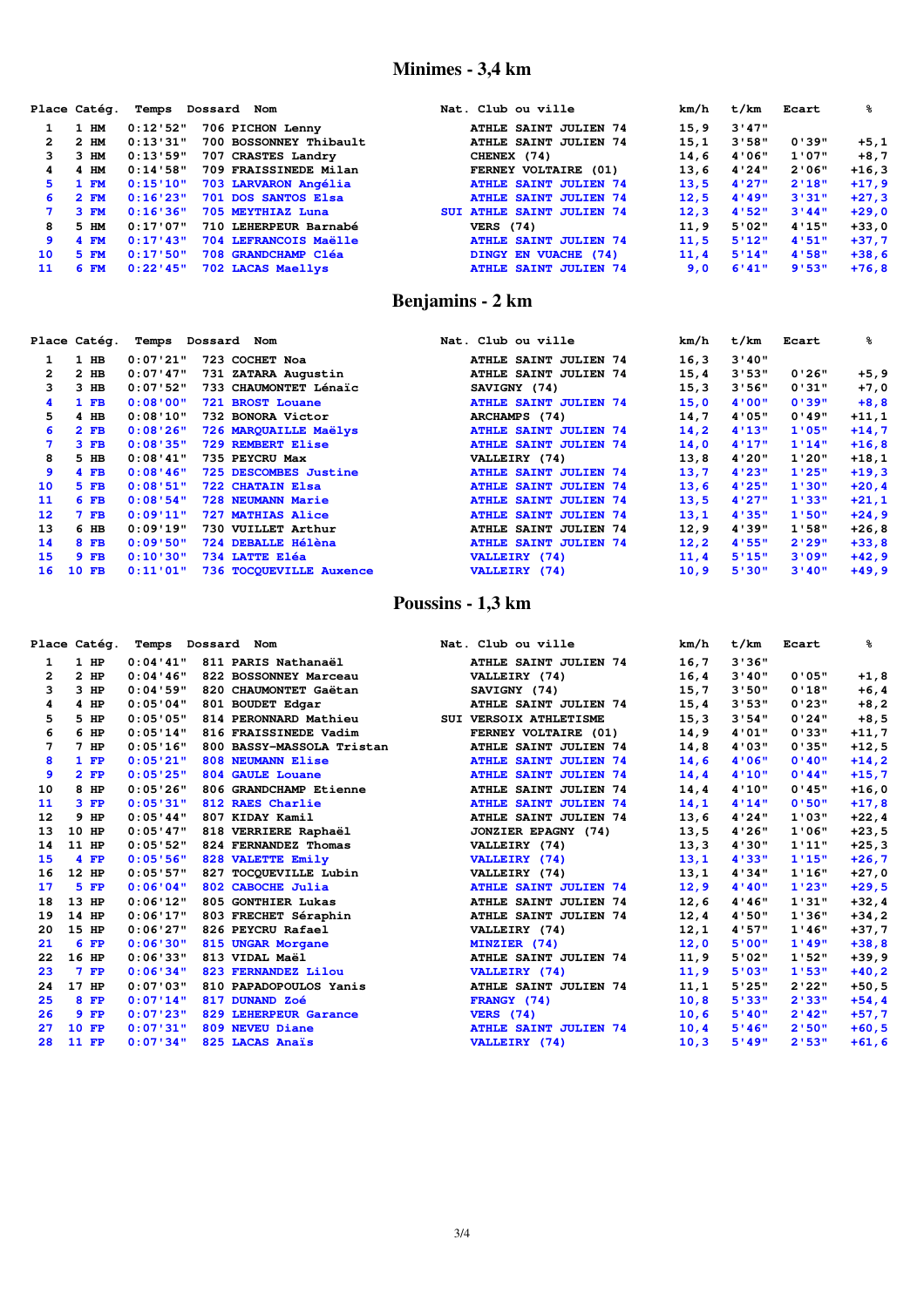## **Minimes - 3,4 km**

|    | Place Catég. | Temps       | Dossard Nom            | Nat. Club ou ville               | km/h | t/km  | Ecart  | ℁       |
|----|--------------|-------------|------------------------|----------------------------------|------|-------|--------|---------|
|    | $1$ HM       | 0:12:52"    | 706 PICHON Lenny       | <b>ATHLE SAINT JULIEN 74</b>     | 15.9 | 3'47" |        |         |
| 2  | $2$ HM       | 0:13'31"    | 700 BOSSONNEY Thibault | <b>ATHLE SAINT JULIEN 74</b>     | 15.1 | 3'58" | 0'39"  | $+5,1$  |
| 3. | 3 HM         | 0:13:59"    | 707 CRASTES Landry     | CHENEX (74)                      | 14.6 | 4'06" | 1'07"  | $+8,7$  |
| 4  | 4 HM         | 0:14'58"    | 709 FRAISSINEDE Milan  | FERNEY VOLTAIRE (01)             | 13.6 | 4'24" | 2'06"  | $+16,3$ |
| 5. | 1 F M        | 0:15'10"    | 703 LARVARON Angélia   | <b>ATHLE SAINT JULIEN 74</b>     | 13.5 | 4'27" | 2'18"  | $+17,9$ |
| 6  | 2 F M        | 0:16'23"    | 701 DOS SANTOS Elsa    | <b>ATHLE SAINT JULIEN 74</b>     | 12.5 | 4'49" | 3'31"  | $+27,3$ |
|    | 3 F M        | 0:16'36"    | 705 MEYTHIAZ Luna      | <b>SUI ATHLE SAINT JULIEN 74</b> | 12.3 | 4'52" | 3'44'' | $+29,0$ |
| 8  | 5 HM         | 0:17:07"    | 710 LEHERPEUR Barnabé  | <b>VERS</b> (74)                 | 11.9 | 5'02" | 4'15"  | $+33,0$ |
| 9  | 4 FM         | 0:17'43"    | 704 LEFRANCOIS Maëlle  | <b>ATHLE SAINT JULIEN 74</b>     | 11.5 | 5'12" | 4'51'' | $+37,7$ |
| 10 | 5 FM         | 0:17:50"    | 708 GRANDCHAMP Cléa    | DINGY EN VUACHE (74)             | 11.4 | 5'14" | 4'58'' | $+38,6$ |
| 11 | $6$ FM       | $0:22'$ 45" | 702 LACAS Maellys      | <b>ATHLE SAINT JULIEN 74</b>     | 9.0  | 6'41" | 9'53"  | $+76.8$ |

### **Benjamins - 2 km**

|                 | Place Catég. | Temps     | Dossard Nom              | Nat. Club ou ville           | km/h  | t/km   | Ecart  | ℁        |
|-----------------|--------------|-----------|--------------------------|------------------------------|-------|--------|--------|----------|
|                 | $1$ HB       | 0:07'21"  | 723 COCHET Noa           | <b>ATHLE SAINT JULIEN 74</b> | 16,3  | 3'40'' |        |          |
| 2               | $2$ HB       | 0:07'17'' | 731 ZATARA Augustin      | <b>ATHLE SAINT JULIEN 74</b> | 15,4  | 3'53"  | 0'26"  | $+5, 9$  |
| 3               | $3$ HB       | 0:07:52"  | 733 CHAUMONTET Lénaïc    | SAVIGNY (74)                 | 15,3  | 3'56"  | 0'31"  | $+7,0$   |
| 4               | $1$ FB       | 0:08"00"  | 721 BROST Louane         | <b>ATHLE SAINT JULIEN 74</b> | 15,0  | 4'00"  | 0'39"  | $+8,8$   |
| 5.              | $4$ HB       | 0:08'10"  | 732 BONORA Victor        | ARCHAMPS (74)                | 14,7  | 4'05"  | 0'49"  | $+11,1$  |
| 6               | $2$ FB       | 0:08'26"  | 726 MARQUAILLE Maëlys    | <b>ATHLE SAINT JULIEN 74</b> | 14, 2 | 4'13'' | 1'05"  | $+14,7$  |
|                 | $3$ FB       | 0:08'35"  | 729 REMBERT Elise        | <b>ATHLE SAINT JULIEN 74</b> | 14,0  | 4'17'' | 1'14"  | $+16,8$  |
| 8               | $5$ HB       | 0:08'41"  | 735 PEYCRU Max           | VALLEIRY (74)                | 13,8  | 4'20"  | 1'20"  | $+18,1$  |
| 9               | $4$ FB       | 0:08'46"  | 725 DESCOMBES Justine    | <b>ATHLE SAINT JULIEN 74</b> | 13,7  | 4'23"  | 1'25"  | $+19,3$  |
| 10              | $5$ FB       | 0:08'51"  | 722 CHATAIN Elsa         | <b>ATHLE SAINT JULIEN 74</b> | 13, 6 | 4'25"  | 1'30"  | $+20, 4$ |
| 11              | $6$ FB       | 0:08:54"  | <b>728 NEUMANN Marie</b> | <b>ATHLE SAINT JULIEN 74</b> | 13, 5 | 4'27"  | 1'33"  | $+21,1$  |
| 12 <sup>1</sup> | $7$ FB       | 0:09'11"  | 727 MATHIAS Alice        | <b>ATHLE SAINT JULIEN 74</b> | 13,1  | 4'35"  | 1'50"  | $+24,9$  |
| 13              | 6 HB         | 0:09'19"  | 730 VUILLET Arthur       | <b>ATHLE SAINT JULIEN 74</b> | 12, 9 | 4'39"  | 1'58"  | $+26,8$  |
| 14              | $8$ FB       | 0:09'50"  | 724 DEBALLE Hélèna       | <b>ATHLE SAINT JULIEN 74</b> | 12, 2 | 4'55"  | 2'29"  | $+33,8$  |
| 15              | $9$ FB       | 0:10'30"  | 734 LATTE Eléa           | VALLEIRY (74)                | 11,4  | 5'15"  | 3'09"  | $+42, 9$ |
| 16              | <b>10 FB</b> | 0:11'01"  | 736 TOCOUEVILLE Auxence  | VALLEIRY (74)                | 10, 9 | 5'30"  | 3'40'' | $+49,9$  |

### **Poussins - 1,3 km**

|              | Place Catég. | Temps Dossard Nom |                           | Nat. Club ou ville           | km/h  | t/km   | Ecart  | ℁        |
|--------------|--------------|-------------------|---------------------------|------------------------------|-------|--------|--------|----------|
| 1            | $1$ HP       | 0:04'11"          | 811 PARIS Nathanaël       | ATHLE SAINT JULIEN 74        | 16,7  | 3'36"  |        |          |
| $\mathbf{2}$ | $2$ HP       | 0:04'16"          | 822 BOSSONNEY Marceau     | VALLEIRY (74)                | 16,4  | 3'40'' | 0'05"  | $+1,8$   |
| 3            | $3$ HP       | 0:04:59"          | 820 CHAUMONTET Gaëtan     | SAVIGNY (74)                 | 15,7  | 3'50"  | 0'18"  | $+6, 4$  |
| 4            | $4$ HP       | 0:05"04"          | 801 BOUDET Edgar          | ATHLE SAINT JULIEN 74        | 15,4  | 3'53"  | 0'23"  | $+8, 2$  |
| 5            | 5 HP         | 0:05"05"          | 814 PERONNARD Mathieu     | SUI VERSOIX ATHLETISME       | 15, 3 | 3'54"  | 0'24"  | $+8,5$   |
| 6            | $6$ HP       | 0:05'14"          | 816 FRAISSINEDE Vadim     | FERNEY VOLTAIRE (01)         | 14,9  | 4'01"  | 0'33"  | $+11,7$  |
| 7            | $7$ HP       | 0:05'16"          | 800 BASSY-MASSOLA Tristan | ATHLE SAINT JULIEN 74        | 14,8  | 4'03"  | 0'35"  | $+12,5$  |
| 8            | $1$ FP       | 0:05'21"          | 808 NEUMANN Elise         | <b>ATHLE SAINT JULIEN 74</b> | 14,6  | 4'06"  | 0'40"  | $+14,2$  |
| 9            | $2$ FP       | 0:05'25"          | 804 GAULE Louane          | <b>ATHLE SAINT JULIEN 74</b> | 14,4  | 4'10'' | 0'44"  | $+15,7$  |
| 10           | 8 HP         | 0:05'26"          | 806 GRANDCHAMP Etienne    | <b>ATHLE SAINT JULIEN 74</b> | 14,4  | 4'10"  | 0'45"  | $+16,0$  |
| 11           | $3$ FP       | 0:05'31"          | 812 RAES Charlie          | <b>ATHLE SAINT JULIEN 74</b> | 14,1  | 4'14"  | 0'50"  | $+17,8$  |
| 12           | $9$ HP       | 0:05'44"          | 807 KIDAY Kamil           | <b>ATHLE SAINT JULIEN 74</b> | 13,6  | 4'24"  | 1'03"  | $+22,4$  |
| 13           | 10 HP        | 0:05'47"          | 818 VERRIERE Raphaël      | <b>JONZIER EPAGNY (74)</b>   | 13,5  | 4'26"  | 1'06"  | $+23,5$  |
| 14           | 11 HP        | 0:05:52"          | 824 FERNANDEZ Thomas      | VALLEIRY (74)                | 13,3  | 4'30"  | 1'11'' | $+25,3$  |
| 15           | $4$ FP       | 0:05'56"          | 828 VALETTE Emily         | <b>VALLEIRY</b> (74)         | 13,1  | 4'33"  | 1'15"  | $+26,7$  |
| 16           | 12 HP        | 0:05'57"          | 827 TOCOUEVILLE Lubin     | VALLEIRY (74)                | 13,1  | 4'34"  | 1'16"  | $+27,0$  |
| 17           | $5$ $FP$     | 0:06'04"          | 802 CABOCHE Julia         | <b>ATHLE SAINT JULIEN 74</b> | 12, 9 | 4'40'' | 1'23"  | $+29,5$  |
| 18           | 13 HP        | 0:06'12"          | 805 GONTHIER Lukas        | ATHLE SAINT JULIEN 74        | 12,6  | 4'46"  | 1'31"  | $+32, 4$ |
| 19           | 14 HP        | 0:06'17"          | 803 FRECHET Séraphin      | ATHLE SAINT JULIEN 74        | 12, 4 | 4'50"  | 1'36"  | $+34,2$  |
| 20           | 15 HP        | 0:06'27"          | 826 PEYCRU Rafael         | VALLEIRY (74)                | 12,1  | 4'57"  | 1'46"  | $+37,7$  |
| 21           | $6$ FP       | 0:06'30"          | 815 UNGAR Morgane         | MINZIER (74)                 | 12,0  | 5'00"  | 1'49"  | $+38,8$  |
| 22           | 16 HP        | 0:06'33"          | 813 VIDAL Maël            | <b>ATHLE SAINT JULIEN 74</b> | 11, 9 | 5'02"  | 1'52"  | $+39,9$  |
| 23           | $7$ FP       | 0:06'34"          | 823 FERNANDEZ Lilou       | VALLEIRY (74)                | 11, 9 | 5'03"  | 1'53"  | $+40, 2$ |
| 24           | 17 HP        | 0:07:03"          | 810 PAPADOPOULOS Yanis    | <b>ATHLE SAINT JULIEN 74</b> | 11,1  | 5'25"  | 2'22"  | $+50, 5$ |
| 25           | 8 FP         | 0:07'14"          | 817 DUNAND Zoé            | FRANGY (74)                  | 10, 8 | 5'33"  | 2'33"  | $+54, 4$ |
| 26           | $9$ FP       | 0:07'23"          | 829 LEHERPEUR Garance     | <b>VERS</b> (74)             | 10, 6 | 5'40'' | 2'42"  | $+57,7$  |
| 27           | 10 FP        | 0:07'31"          | 809 NEVEU Diane           | <b>ATHLE SAINT JULIEN 74</b> | 10, 4 | 5'46"  | 2'50"  | $+60, 5$ |
| 28           | 11 FP        | 0:07"34"          | 825 LACAS Anaïs           | VALLEIRY (74)                | 10, 3 | 5'49'' | 2'53"  | $+61, 6$ |